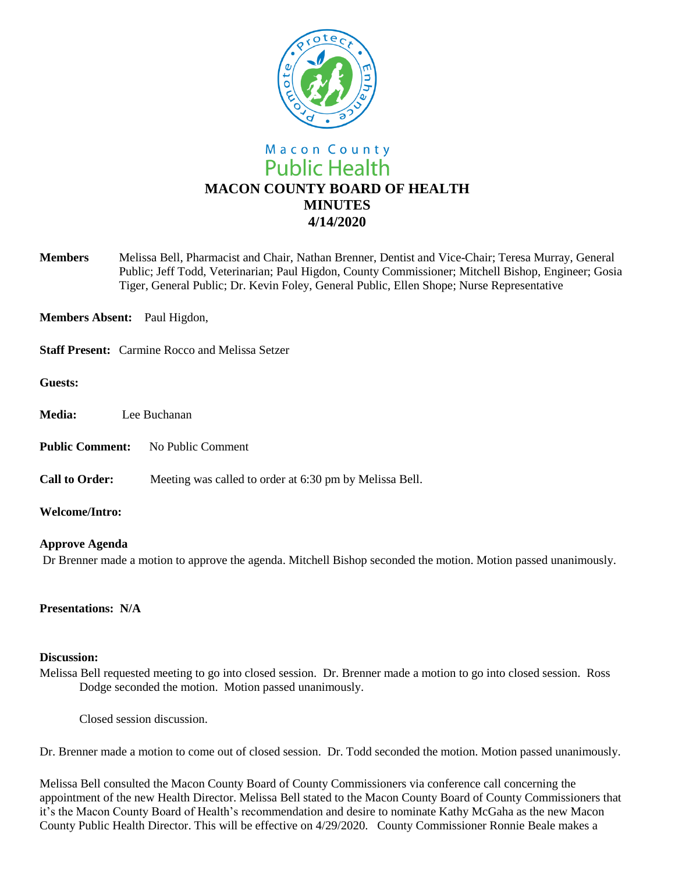

**Members** Melissa Bell, Pharmacist and Chair, Nathan Brenner, Dentist and Vice-Chair; Teresa Murray, General Public; Jeff Todd, Veterinarian; Paul Higdon, County Commissioner; Mitchell Bishop, Engineer; Gosia Tiger, General Public; Dr. Kevin Foley, General Public, Ellen Shope; Nurse Representative

**Members Absent:** Paul Higdon,

**Staff Present:** Carmine Rocco and Melissa Setzer

**Guests:**

- **Media:** Lee Buchanan
- **Public Comment:** No Public Comment
- **Call to Order:** Meeting was called to order at 6:30 pm by Melissa Bell.

**Welcome/Intro:** 

## **Approve Agenda**

Dr Brenner made a motion to approve the agenda. Mitchell Bishop seconded the motion. Motion passed unanimously.

**Presentations: N/A**

## **Discussion:**

Melissa Bell requested meeting to go into closed session. Dr. Brenner made a motion to go into closed session. Ross Dodge seconded the motion. Motion passed unanimously.

Closed session discussion.

Dr. Brenner made a motion to come out of closed session. Dr. Todd seconded the motion. Motion passed unanimously.

Melissa Bell consulted the Macon County Board of County Commissioners via conference call concerning the appointment of the new Health Director. Melissa Bell stated to the Macon County Board of County Commissioners that it's the Macon County Board of Health's recommendation and desire to nominate Kathy McGaha as the new Macon County Public Health Director. This will be effective on 4/29/2020. County Commissioner Ronnie Beale makes a